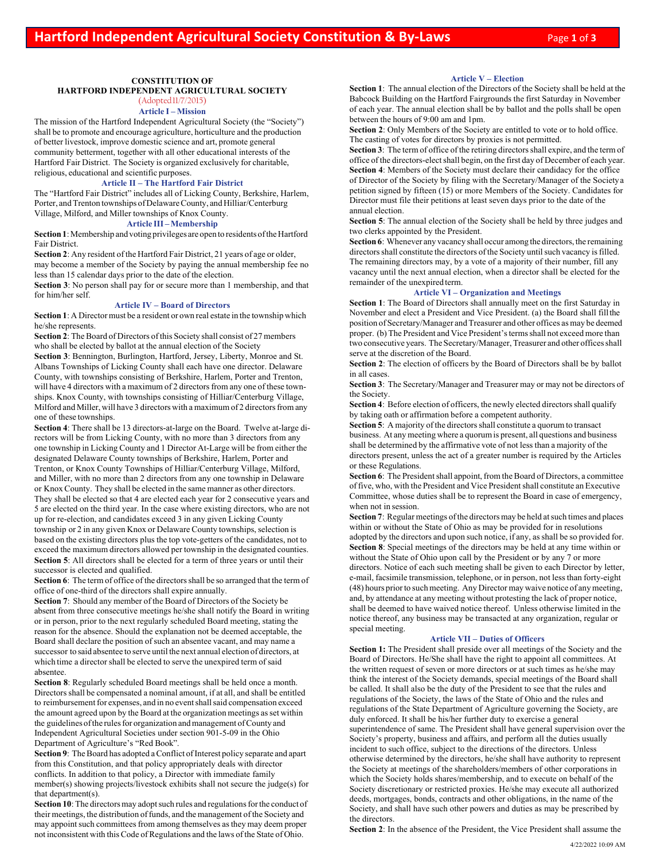### **CONSTITUTION OF**

# **HARTFORD INDEPENDENT AGRICULTURAL SOCIETY**  (Adopted 11/7/2015)

#### **Article I – Mission**

The mission of the Hartford Independent Agricultural Society (the "Society") shall be to promote and encourage agriculture, horticulture and the production of better livestock, improve domestic science and art, promote general community betterment, together with all other educational interests of the Hartford Fair District. The Society is organized exclusively for charitable, religious, educational and scientific purposes.

#### **Article II – The Hartford Fair District**

The "Hartford Fair District" includes all of Licking County, Berkshire, Harlem, Porter, and Trenton townships of Delaware County, and Hilliar/Centerburg Village, Milford, and Miller townships of Knox County.

## **Article III – Membership**

**Section 1**: Membership and voting privileges are open to residents of the Hartford Fair District.

**Section 2**: Any resident of the Hartford Fair District, 21 years of age or older, may become a member of the Society by paying the annual membership fee no less than 15 calendar days prior to the date of the election.

**Section 3**: No person shall pay for or secure more than 1 membership, and that for him/her self.

#### **Article IV – Board of Directors**

**Section 1**: A Director must be a resident or own real estate in the township which he/she represents.

**Section 2**: The Board of Directors of this Society shall consist of 27 members who shall be elected by ballot at the annual election of the Society

**Section 3**: Bennington, Burlington, Hartford, Jersey, Liberty, Monroe and St. Albans Townships of Licking County shall each have one director. Delaware County, with townships consisting of Berkshire, Harlem, Porter and Trenton, will have 4 directors with a maximum of 2 directors from any one of these townships. Knox County, with townships consisting of Hilliar/Centerburg Village, Milford and Miller, will have 3 directors with a maximum of 2 directors from any one of these townships.

**Section 4**: There shall be 13 directors-at-large on the Board. Twelve at-large directors will be from Licking County, with no more than 3 directors from any one township in Licking County and 1 Director At-Large will be from either the designated Delaware County townships of Berkshire, Harlem, Porter and Trenton, or Knox County Townships of Hilliar/Centerburg Village, Milford, and Miller, with no more than 2 directors from any one township in Delaware or Knox County. They shall be elected in the same manner as other directors. They shall be elected so that 4 are elected each year for 2 consecutive years and 5 are elected on the third year. In the case where existing directors, who are not up for re-election, and candidates exceed 3 in any given Licking County township or 2 in any given Knox or Delaware County townships, selection is based on the existing directors plus the top vote-getters of the candidates, not to exceed the maximum directors allowed per township in the designated counties. **Section 5**: All directors shall be elected for a term of three years or until their successor is elected and qualified.

**Section 6**: The term of office of the directors shall be so arranged that the term of office of one-third of the directors shall expire annually.

**Section 7**: Should any member of the Board of Directors of the Society be absent from three consecutive meetings he/she shall notify the Board in writing or in person, prior to the next regularly scheduled Board meeting, stating the reason for the absence. Should the explanation not be deemed acceptable, the Board shall declare the position of such an absentee vacant, and may name a successor to said absentee to serve until the next annual election of directors, at which time a director shall be elected to serve the unexpired term of said absentee.

**Section 8**: Regularly scheduled Board meetings shall be held once a month. Directors shall be compensated a nominal amount, if at all, and shall be entitled to reimbursement for expenses, and in no event shall said compensation exceed the amount agreed upon by the Board at the organization meetings as set within the guidelines of the rules for organization and management of County and Independent Agricultural Societies under section 901-5-09 in the Ohio Department of Agriculture's "Red Book".

**Section 9**: The Board has adopted a Conflict of Interest policy separate and apart from this Constitution, and that policy appropriately deals with director conflicts. In addition to that policy, a Director with immediate family member(s) showing projects/livestock exhibits shall not secure the judge(s) for that department(s).

**Section 10**: The directors may adopt such rules and regulations for the conduct of their meetings, the distribution of funds, and the management of the Society and may appoint such committees from among themselves as they may deem proper not inconsistent with this Code of Regulations and the laws of the State of Ohio.

# **Article V – Election**

**Section 1**: The annual election of the Directors of the Society shall be held at the Babcock Building on the Hartford Fairgrounds the first Saturday in November of each year. The annual election shall be by ballot and the polls shall be open between the hours of 9:00 am and 1pm.

**Section 2**: Only Members of the Society are entitled to vote or to hold office. The casting of votes for directors by proxies is not permitted.

**Section 3**: The term of office of the retiring directors shall expire, and the term of office of the directors-elect shall begin, on the first day of December of each year. **Section 4**: Members of the Society must declare their candidacy for the office of Director of the Society by filing with the Secretary/Manager of the Society a petition signed by fifteen (15) or more Members of the Society. Candidates for Director must file their petitions at least seven days prior to the date of the annual election.

**Section 5**: The annual election of the Society shall be held by three judges and two clerks appointed by the President.

**Section 6**: Whenever any vacancy shall occur among the directors, the remaining directors shall constitute the directors of the Society until such vacancy is filled. The remaining directors may, by a vote of a majority of their number, fill any vacancy until the next annual election, when a director shall be elected for the remainder of the unexpired term.

## **Article VI – Organization and Meetings**

**Section 1**: The Board of Directors shall annually meet on the first Saturday in November and elect a President and Vice President. (a) the Board shall fill the position of Secretary/Manager and Treasurer and other offices as may be deemed proper. (b) The President and Vice President's terms shall not exceed more than two consecutive years. The Secretary/Manager, Treasurer and other offices shall serve at the discretion of the Board.

**Section 2**: The election of officers by the Board of Directors shall be by ballot in all cases.

**Section 3**: The Secretary/Manager and Treasurer may or may not be directors of the Society.

**Section 4**: Before election of officers, the newly elected directors shall qualify by taking oath or affirmation before a competent authority.

**Section 5**: A majority of the directors shall constitute a quorum to transact business. At any meeting where a quorum is present, all questions and business shall be determined by the affirmative vote of not less than a majority of the directors present, unless the act of a greater number is required by the Articles or these Regulations.

**Section 6**: The President shall appoint, from the Board of Directors, a committee of five, who, with the President and Vice President shall constitute an Executive Committee, whose duties shall be to represent the Board in case of emergency, when not in session.

**Section 7**: Regular meetings of the directors may be held at such times and places within or without the State of Ohio as may be provided for in resolutions adopted by the directors and upon such notice, if any, as shall be so provided for. **Section 8**: Special meetings of the directors may be held at any time within or without the State of Ohio upon call by the President or by any 7 or more

directors. Notice of each such meeting shall be given to each Director by letter, e-mail, facsimile transmission, telephone, or in person, not less than forty-eight (48) hours prior to such meeting. Any Director may waive notice of any meeting, and, by attendance at any meeting without protesting the lack of proper notice, shall be deemed to have waived notice thereof. Unless otherwise limited in the notice thereof, any business may be transacted at any organization, regular or special meeting.

#### **Article VII – Duties of Officers**

**Section 1:** The President shall preside over all meetings of the Society and the Board of Directors. He/She shall have the right to appoint all committees. At the written request of seven or more directors or at such times as he/she may think the interest of the Society demands, special meetings of the Board shall be called. It shall also be the duty of the President to see that the rules and regulations of the Society, the laws of the State of Ohio and the rules and regulations of the State Department of Agriculture governing the Society, are duly enforced. It shall be his/her further duty to exercise a general superintendence of same. The President shall have general supervision over the Society's property, business and affairs, and perform all the duties usually incident to such office, subject to the directions of the directors. Unless otherwise determined by the directors, he/she shall have authority to represent the Society at meetings of the shareholders/members of other corporations in which the Society holds shares/membership, and to execute on behalf of the Society discretionary or restricted proxies. He/she may execute all authorized deeds, mortgages, bonds, contracts and other obligations, in the name of the Society, and shall have such other powers and duties as may be prescribed by the directors.

**Section 2**: In the absence of the President, the Vice President shall assume the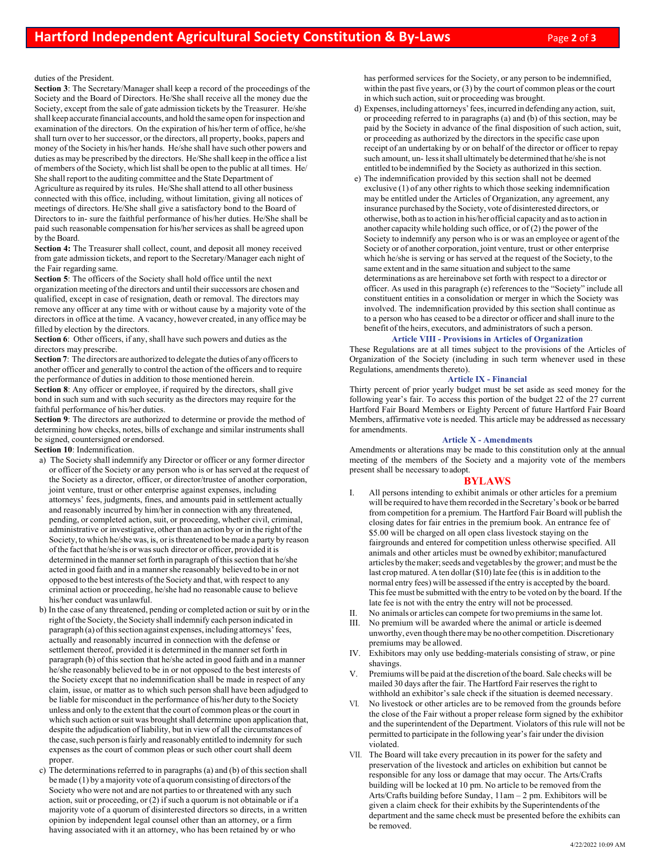## duties of the President.

**Section 3**: The Secretary/Manager shall keep a record of the proceedings of the Society and the Board of Directors. He/She shall receive all the money due the Society, except from the sale of gate admission tickets by the Treasurer. He/she shall keep accurate financial accounts, and hold the same open for inspection and examination of the directors. On the expiration of his/her term of office, he/she shall turn over to her successor, or the directors, all property, books, papers and money of the Society in his/her hands. He/she shall have such other powers and duties as may be prescribed by the directors. He/She shall keep in the office a list of members of the Society, which list shall be open to the public at all times. He/ She shall report to the auditing committee and the State Department of Agriculture as required by its rules. He/She shall attend to all other business connected with this office, including, without limitation, giving all notices of meetings of directors. He/She shall give a satisfactory bond to the Board of Directors to in- sure the faithful performance of his/her duties. He/She shall be paid such reasonable compensation for his/her services as shall be agreed upon by the Board.

**Section 4:** The Treasurer shall collect, count, and deposit all money received from gate admission tickets, and report to the Secretary/Manager each night of the Fair regarding same.

**Section 5**: The officers of the Society shall hold office until the next

organization meeting of the directors and until their successors are chosen and qualified, except in case of resignation, death or removal. The directors may remove any officer at any time with or without cause by a majority vote of the directors in office at the time. A vacancy, however created, in any office may be filled by election by the directors.

**Section 6**: Other officers, if any, shall have such powers and duties as the directors may prescribe.

**Section 7**: The directors are authorized to delegate the duties of any officers to another officer and generally to control the action of the officers and to require the performance of duties in addition to those mentioned herein.

**Section 8**: Any officer or employee, if required by the directors, shall give bond in such sum and with such security as the directors may require for the faithful performance of his/her duties.

**Section 9**: The directors are authorized to determine or provide the method of determining how checks, notes, bills of exchange and similar instruments shall be signed, countersigned or endorsed.

**Section 10**: Indemnification.

- a) The Society shall indemnify any Director or officer or any former director or officer of the Society or any person who is or has served at the request of the Society as a director, officer, or director/trustee of another corporation, joint venture, trust or other enterprise against expenses, including attorneys' fees, judgments, fines, and amounts paid in settlement actually and reasonably incurred by him/her in connection with any threatened, pending, or completed action, suit, or proceeding, whether civil, criminal, administrative or investigative, other than an action by or in the right of the Society, to which he/she was, is, or is threatened to be made a party by reason of the fact that he/she is or was such director or officer, provided it is determined in the manner set forth in paragraph of this section that he/she acted in good faith and in a manner she reasonably believed to be in or not opposed to the best interests of the Society and that, with respect to any criminal action or proceeding, he/she had no reasonable cause to believe his/her conduct was unlawful.
- b) In the case of any threatened, pending or completed action or suit by or in the right of the Society, the Society shall indemnify each person indicated in paragraph (a) of this section against expenses, including attorneys' fees, actually and reasonably incurred in connection with the defense or settlement thereof, provided it is determined in the manner set forth in paragraph (b) of this section that he/she acted in good faith and in a manner he/she reasonably believed to be in or not opposed to the best interests of the Society except that no indemnification shall be made in respect of any claim, issue, or matter as to which such person shall have been adjudged to be liable for misconduct in the performance of his/her duty to the Society unless and only to the extent that the court of common pleas or the court in which such action or suit was brought shall determine upon application that, despite the adjudication of liability, but in view of all the circumstances of the case, such person is fairly and reasonably entitled to indemnity for such expenses as the court of common pleas or such other court shall deem proper.
- c) The determinations referred to in paragraphs (a) and (b) of this section shall be made (1) by a majority vote of a quorum consisting of directors of the Society who were not and are not parties to or threatened with any such action, suit or proceeding, or (2) if such a quorum is not obtainable or if a majority vote of a quorum of disinterested directors so directs, in a written opinion by independent legal counsel other than an attorney, or a firm having associated with it an attorney, who has been retained by or who

has performed services for the Society, or any person to be indemnified, within the past five years, or (3) by the court of common pleas or the court in which such action, suit or proceeding was brought.

- d) Expenses, including attorneys' fees, incurred in defending any action, suit, or proceeding referred to in paragraphs (a) and (b) of this section, may be paid by the Society in advance of the final disposition of such action, suit, or proceeding as authorized by the directors in the specific case upon receipt of an undertaking by or on behalf of the director or officer to repay such amount, un- less it shall ultimately be determined that he/she is not entitled to be indemnified by the Society as authorized in this section.
- e) The indemnification provided by this section shall not be deemed exclusive (1) of any other rights to which those seeking indemnification may be entitled under the Articles of Organization, any agreement, any insurance purchased by the Society, vote of disinterested directors, or otherwise, both as to action in his/her official capacity and as to action in another capacity while holding such office, or of (2) the power of the Society to indemnify any person who is or was an employee or agent of the Society or of another corporation, joint venture, trust or other enterprise which he/she is serving or has served at the request of the Society, to the same extent and in the same situation and subject to the same determinations as are hereinabove set forth with respect to a director or officer. As used in this paragraph (e) references to the "Society" include all constituent entities in a consolidation or merger in which the Society was involved. The indemnification provided by this section shall continue as to a person who has ceased to be a director or officer and shall inure to the benefit of the heirs, executors, and administrators of such a person.

# **Article VIII - Provisions in Articles of Organization**

These Regulations are at all times subject to the provisions of the Articles of Organization of the Society (including in such term whenever used in these Regulations, amendments thereto).

#### **Article IX - Financial**

Thirty percent of prior yearly budget must be set aside as seed money for the following year's fair. To access this portion of the budget 22 of the 27 current Hartford Fair Board Members or Eighty Percent of future Hartford Fair Board Members, affirmative vote is needed. This article may be addressed as necessary for amendments.

#### **Article X - Amendments**

Amendments or alterations may be made to this constitution only at the annual meeting of the members of the Society and a majority vote of the members present shall be necessary to adopt.

## **BYLAWS**

- I. All persons intending to exhibit animals or other articles for a premium will be required to have them recorded in the Secretary's book or be barred from competition for a premium. The Hartford Fair Board will publish the closing dates for fair entries in the premium book. An entrance fee of \$5.00 will be charged on all open class livestock staying on the fairgrounds and entered for competition unless otherwise specified. All animals and other articles must be owned by exhibitor; manufactured articles by the maker; seeds and vegetables by the grower; and must be the last crop matured. A ten dollar (\$10) late fee (this is in addition to the normal entry fees) will be assessed if the entry is accepted by the board. This fee must be submitted with the entry to be voted on by the board. If the late fee is not with the entry the entry will not be processed.
- II. No animals or articles can compete for two premiums in the same lot.
- III. No premium will be awarded where the animal or article is deemed unworthy, even though there may be no other competition. Discretionary premiums may be allowed.
- IV. Exhibitors may only use bedding-materials consisting of straw, or pine shavings.
- Premiums will be paid at the discretion of the board. Sale checks will be mailed 30 days after the fair. The Hartford Fair reserves the right to withhold an exhibitor's sale check if the situation is deemed necessary.
- No livestock or other articles are to be removed from the grounds before the close of the Fair without a proper release form signed by the exhibitor and the superintendent of the Department. Violators of this rule will not be permitted to participate in the following year's fair under the division violated.
- VII. The Board will take every precaution in its power for the safety and preservation of the livestock and articles on exhibition but cannot be responsible for any loss or damage that may occur. The Arts/Crafts building will be locked at 10 pm. No article to be removed from the Arts/Crafts building before Sunday, 11am – 2 pm. Exhibitors will be given a claim check for their exhibits by the Superintendents of the department and the same check must be presented before the exhibits can be removed.